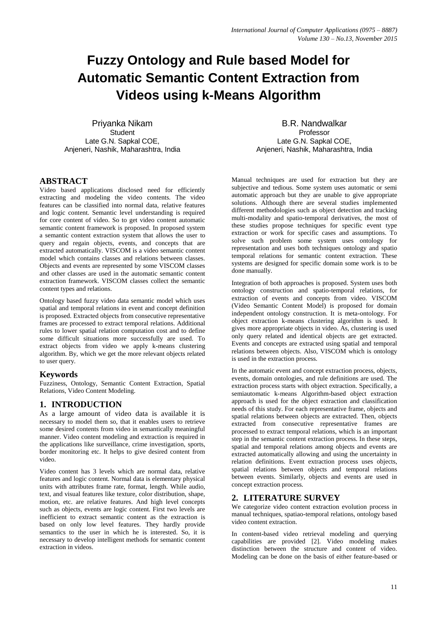# **Fuzzy Ontology and Rule based Model for Automatic Semantic Content Extraction from Videos using k-Means Algorithm**

Priyanka Nikam **Student** Late G.N. Sapkal COE, Anjeneri, Nashik, Maharashtra, India

#### **ABSTRACT**

Video based applications disclosed need for efficiently extracting and modeling the video contents. The video features can be classified into normal data, relative features and logic content. Semantic level understanding is required for core content of video. So to get video content automatic semantic content framework is proposed. In proposed system a semantic content extraction system that allows the user to query and regain objects, events, and concepts that are extracted automatically. VISCOM is a video semantic content model which contains classes and relations between classes. Objects and events are represented by some VISCOM classes and other classes are used in the automatic semantic content extraction framework. VISCOM classes collect the semantic content types and relations.

Ontology based fuzzy video data semantic model which uses spatial and temporal relations in event and concept definition is proposed. Extracted objects from consecutive representative frames are processed to extract temporal relations. Additional rules to lower spatial relation computation cost and to define some difficult situations more successfully are used. To extract objects from video we apply k-means clustering algorithm. By, which we get the more relevant objects related to user query.

#### **Keywords**

Fuzziness, Ontology, Semantic Content Extraction, Spatial Relations, Video Content Modeling.

# **1. INTRODUCTION**

As a large amount of video data is available it is necessary to model them so, that it enables users to retrieve some desired contents from video in semantically meaningful manner. Video content modeling and extraction is required in the applications like surveillance, crime investigation, sports, border monitoring etc. It helps to give desired content from video.

Video content has 3 levels which are normal data, relative features and logic content. Normal data is elementary physical units with attributes frame rate, format, length. While audio, text, and visual features like texture, color distribution, shape, motion, etc. are relative features. And high level concepts such as objects, events are logic content. First two levels are inefficient to extract semantic content as the extraction is based on only low level features. They hardly provide semantics to the user in which he is interested. So, it is necessary to develop intelligent methods for semantic content extraction in videos.

B.R. Nandwalkar Professor Late G.N. Sapkal COE, Anjeneri, Nashik, Maharashtra, India

Manual techniques are used for extraction but they are subjective and tedious. Some system uses automatic or semi automatic approach but they are unable to give appropriate solutions. Although there are several studies implemented different methodologies such as object detection and tracking multi-modality and spatio-temporal derivatives, the most of these studies propose techniques for specific event type extraction or work for specific cases and assumptions. To solve such problem some system uses ontology for representation and uses both techniques ontology and spatio temporal relations for semantic content extraction. These systems are designed for specific domain some work is to be done manually.

Integration of both approaches is proposed. System uses both ontology construction and spatio-temporal relations, for extraction of events and concepts from video. VISCOM (Video Semantic Content Model) is proposed for domain independent ontology construction. It is meta-ontology. For object extraction k-means clustering algorithm is used. It gives more appropriate objects in video. As, clustering is used only query related and identical objects are get extracted. Events and concepts are extracted using spatial and temporal relations between objects. Also, VISCOM which is ontology is used in the extraction process.

In the automatic event and concept extraction process, objects, events, domain ontologies, and rule definitions are used. The extraction process starts with object extraction. Specifically, a semiautomatic k-means Algorithm-based object extraction approach is used for the object extraction and classification needs of this study. For each representative frame, objects and spatial relations between objects are extracted. Then, objects extracted from consecutive representative frames are processed to extract temporal relations, which is an important step in the semantic content extraction process. In these steps, spatial and temporal relations among objects and events are extracted automatically allowing and using the uncertainty in relation definitions. Event extraction process uses objects, spatial relations between objects and temporal relations between events. Similarly, objects and events are used in concept extraction process.

# **2. LITERATURE SURVEY**

We categorize video content extraction evolution process in manual techniques, spatiao-temporal relations, ontology based video content extraction.

In content-based video retrieval modeling and querying capabilities are provided [2]. Video modeling makes distinction between the structure and content of video. Modeling can be done on the basis of either feature-based or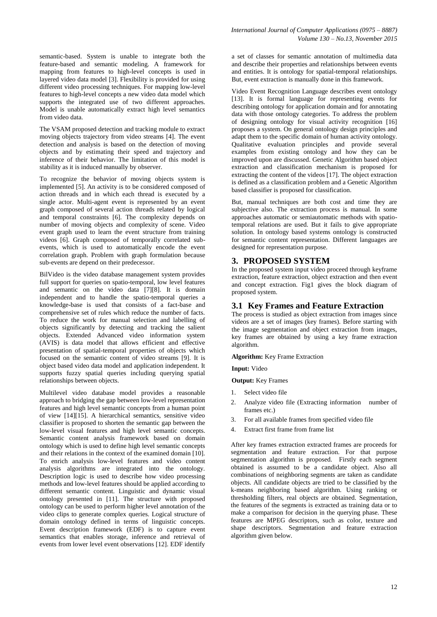semantic-based. System is unable to integrate both the feature-based and semantic modeling. A framework for mapping from features to high-level concepts is used in layered video data model [3]. Flexibility is provided for using different video processing techniques. For mapping low-level features to high-level concepts a new video data model which supports the integrated use of two different approaches. Model is unable automatically extract high level semantics from video data.

The VSAM proposed detection and tracking module to extract moving objects trajectory from video streams [4]. The event detection and analysis is based on the detection of moving objects and by estimating their speed and trajectory and inference of their behavior. The limitation of this model is stability as it is induced manually by observer.

To recognize the behavior of moving objects system is implemented [5]. An activity is to be considered composed of action threads and in which each thread is executed by a single actor. Multi-agent event is represented by an event graph composed of several action threads related by logical and temporal constraints [6]. The complexity depends on number of moving objects and complexity of scene. Video event graph used to learn the event structure from training videos [6]. Graph composed of temporally correlated subevents, which is used to automatically encode the event correlation graph. Problem with graph formulation because sub-events are depend on their predecessor.

BilVideo is the video database management system provides full support for queries on spatio-temporal, low level features and semantic on the video data [7][8]. It is domain independent and to handle the spatio-temporal queries a knowledge-base is used that consists of a fact-base and comprehensive set of rules which reduce the number of facts. To reduce the work for manual selection and labelling of objects significantly by detecting and tracking the salient objects. Extended Advanced video information system (AVIS) is data model that allows efficient and effective presentation of spatial-temporal properties of objects which focused on the semantic content of video streams [9]. It is object based video data model and application independent. It supports fuzzy spatial queries including querying spatial relationships between objects.

Multilevel video database model provides a reasonable approach to bridging the gap between low-level representation features and high level semantic concepts from a human point of view [14][15]. A hierarchical semantics, sensitive video classifier is proposed to shorten the semantic gap between the low-level visual features and high level semantic concepts. Semantic content analysis framework based on domain ontology which is used to define high level semantic concepts and their relations in the context of the examined domain [10]. To enrich analysis low-level features and video content analysis algorithms are integrated into the ontology. Description logic is used to describe how video processing methods and low-level features should be applied according to different semantic content. Linguistic and dynamic visual ontology presented in [11]. The structure with proposed ontology can be used to perform higher level annotation of the video clips to generate complex queries. Logical structure of domain ontology defined in terms of linguistic concepts. Event description framework (EDF) is to capture event semantics that enables storage, inference and retrieval of events from lower level event observations [12]. EDF identify

a set of classes for semantic annotation of multimedia data and describe their properties and relationships between events and entities. It is ontology for spatial-temporal relationships. But, event extraction is manually done in this framework.

Video Event Recognition Language describes event ontology [13]. It is formal language for representing events for describing ontology for application domain and for annotating data with those ontology categories. To address the problem of designing ontology for visual activity recognition [16] proposes a system. On general ontology design principles and adapt them to the specific domain of human activity ontology. Qualitative evaluation principles and provide several examples from existing ontology and how they can be improved upon are discussed. Genetic Algorithm based object extraction and classification mechanism is proposed for extracting the content of the videos [17]. The object extraction is defined as a classification problem and a Genetic Algorithm based classifier is proposed for classification.

But, manual techniques are both cost and time they are subjective also. The extraction process is manual. In some approaches automatic or semiautomatic methods with spatiotemporal relations are used. But it fails to give appropriate solution. In ontology based systems ontology is constructed for semantic content representation. Different languages are designed for representation purpose.

### **3. PROPOSED SYSTEM**

In the proposed system input video proceed through keyframe extraction, feature extraction, object extraction and then event and concept extraction. Fig1 gives the block diagram of proposed system.

#### **3.1 Key Frames and Feature Extraction**

The process is studied as object extraction from images since videos are a set of images (key frames). Before starting with the image segmentation and object extraction from images, key frames are obtained by using a key frame extraction algorithm.

#### **Algorithm:** Key Frame Extraction

**Input:** Video

#### **Output:** Key Frames

- 1. Select video file
- 2. Analyze video file (Extracting information number of frames etc.)
- 3. For all available frames from specified video file
- 4. Extract first frame from frame list

After key frames extraction extracted frames are proceeds for segmentation and feature extraction. For that purpose segmentation algorithm is proposed. Firstly each segment obtained is assumed to be a candidate object. Also all combinations of neighboring segments are taken as candidate objects. All candidate objects are tried to be classified by the k-means neighboring based algorithm. Using ranking or thresholding filters, real objects are obtained. Segmentation, the features of the segments is extracted as training data or to make a comparison for decision in the querying phase. These features are MPEG descriptors, such as color, texture and shape descriptors. Segmentation and feature extraction algorithm given below.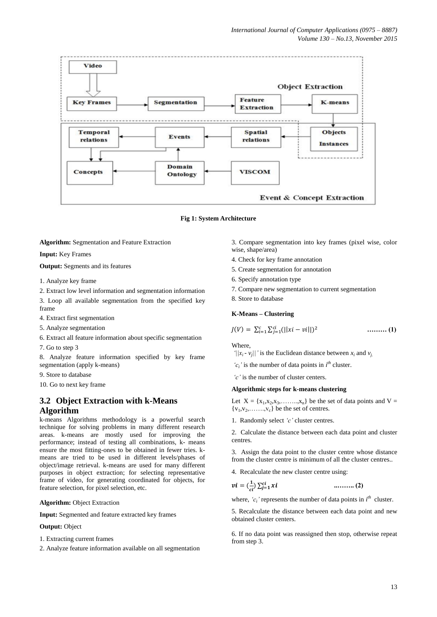

**Fig 1: System Architecture**

**Algorithm:** Segmentation and Feature Extraction

**Input:** Key Frames

**Output:** Segments and its features

- 1. Analyze key frame
- 2. Extract low level information and segmentation information

3. Loop all available segmentation from the specified key frame

4. Extract first segmentation

5. Analyze segmentation

6. Extract all feature information about specific segmentation

7. Go to step 3

8. Analyze feature information specified by key frame segmentation (apply k-means)

9. Store to database

10. Go to next key frame

## **3.2 Object Extraction with k-Means Algorithm**

k-means Algorithms methodology is a powerful search technique for solving problems in many different research areas. k-means are mostly used for improving the performance; instead of testing all combinations, k- means ensure the most fitting-ones to be obtained in fewer tries. kmeans are tried to be used in different levels/phases of object/image retrieval. k-means are used for many different purposes in object extraction; for selecting representative frame of video, for generating coordinated for objects, for feature selection, for pixel selection, etc.

**Algorithm:** Object Extraction

**Input:** Segmented and feature extracted key frames

#### **Output:** Object

- 1. Extracting current frames
- 2. Analyze feature information available on all segmentation
- 3. Compare segmentation into key frames (pixel wise, color wise, shape/area)
- 4. Check for key frame annotation
- 5. Create segmentation for annotation
- 6. Specify annotation type
- 7. Compare new segmentation to current segmentation
- 8. Store to database

#### **K-Means – Clustering**

$$
J(V) = \sum_{i=1}^{c} \sum_{j=1}^{ci} (||xi - vi||)^2
$$
 ......... (1)

**Where** 

*'*| $|x_i - v_j|$ |' is the Euclidean distance between  $x_i$  and  $v_j$ .

' $c_i$ ' is the number of data points in  $i^{\text{th}}$  cluster.

*'c'* is the number of cluster centers.

#### **Algorithmic steps for k-means clustering**

Let  $X = \{x_1, x_2, x_3, \dots, x_n\}$  be the set of data points and  $V =$  ${v_1, v_2, \ldots, v_c}$  be the set of centres.

1. Randomly select *'c'* cluster centres.

2. Calculate the distance between each data point and cluster centres.

3. Assign the data point to the cluster centre whose distance from the cluster centre is minimum of all the cluster centres..

4. Recalculate the new cluster centre using:

$$
vi = (\frac{1}{ci}) \sum_{j=1}^{ci} xi
$$
 ......... (2)

where,  $'c_i'$  represents the number of data points in  $i<sup>th</sup>$  cluster.

5. Recalculate the distance between each data point and new obtained cluster centers.

6. If no data point was reassigned then stop, otherwise repeat from step 3.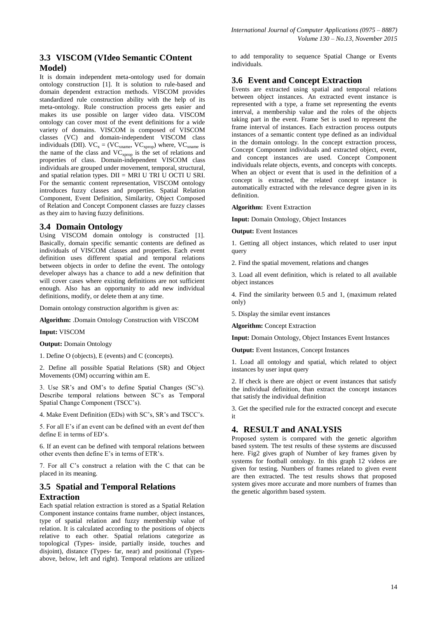# **3.3 VISCOM (VIdeo Semantic COntent Model)**

It is domain independent meta-ontology used for domain ontology construction [1]. It is solution to rule-based and domain dependent extraction methods. VISCOM provides standardized rule construction ability with the help of its meta-ontology. Rule construction process gets easier and makes its use possible on larger video data. VISCOM ontology can cover most of the event definitions for a wide variety of domains. VISCOM is composed of VISCOM classes (VC) and domain-independent VISCOM class individuals (DII).  $VC_x = (VC_{xname}, VC_{xprop})$  where,  $VC_{xname}$  is the name of the class and  $VC_{\rm xprop}$  is the set of relations and properties of class. Domain-independent VISCOM class individuals are grouped under movement, temporal, structural, and spatial relation types. DII = MRI U TRI U OCTI U SRI. For the semantic content representation, VISCOM ontology introduces fuzzy classes and properties. Spatial Relation Component, Event Definition, Similarity, Object Composed of Relation and Concept Component classes are fuzzy classes as they aim to having fuzzy definitions.

## **3.4 Domain Ontology**

Using VISCOM domain ontology is constructed [1]. Basically, domain specific semantic contents are defined as individuals of VISCOM classes and properties. Each event definition uses different spatial and temporal relations between objects in order to define the event. The ontology developer always has a chance to add a new definition that will cover cases where existing definitions are not sufficient enough. Also has an opportunity to add new individual definitions, modify, or delete them at any time.

Domain ontology construction algorithm is given as:

**Algorithm:** .Domain Ontology Construction with VISCOM

**Input:** VISCOM

**Output:** Domain Ontology

1. Define O (objects), E (events) and C (concepts).

2. Define all possible Spatial Relations (SR) and Object Movements (OM) occurring within am E.

3. Use SR's and OM's to define Spatial Changes (SC's). Describe temporal relations between SC's as Temporal Spatial Change Component (TSCC's).

4. Make Event Definition (EDs) with SC's, SR's and TSCC's.

5. For all E's if an event can be defined with an event def then define E in terms of ED's.

6. If an event can be defined with temporal relations between other events then define E's in terms of ETR's.

7. For all C's construct a relation with the C that can be placed in its meaning.

# **3.5 Spatial and Temporal Relations Extraction**

Each spatial relation extraction is stored as a Spatial Relation Component instance contains frame number, object instances, type of spatial relation and fuzzy membership value of relation. It is calculated according to the positions of objects relative to each other. Spatial relations categorize as topological (Types- inside, partially inside, touches and disjoint), distance (Types- far, near) and positional (Typesabove, below, left and right). Temporal relations are utilized

to add temporality to sequence Spatial Change or Events individuals.

# **3.6 Event and Concept Extraction**

Events are extracted using spatial and temporal relations between object instances. An extracted event instance is represented with a type, a frame set representing the events interval, a membership value and the roles of the objects taking part in the event. Frame Set is used to represent the frame interval of instances. Each extraction process outputs instances of a semantic content type defined as an individual in the domain ontology. In the concept extraction process, Concept Component individuals and extracted object, event, and concept instances are used. Concept Component individuals relate objects, events, and concepts with concepts. When an object or event that is used in the definition of a concept is extracted, the related concept instance is automatically extracted with the relevance degree given in its definition.

**Algorithm:** Event Extraction

**Input:** Domain Ontology, Object Instances

**Output:** Event Instances

1. Getting all object instances, which related to user input query

2. Find the spatial movement, relations and changes

3. Load all event definition, which is related to all available object instances

4. Find the similarity between 0.5 and 1, (maximum related only)

5. Display the similar event instances

**Algorithm:** Concept Extraction

**Input:** Domain Ontology, Object Instances Event Instances

**Output:** Event Instances, Concept Instances

1. Load all ontology and spatial, which related to object instances by user input query

2. If check is there are object or event instances that satisfy the individual definition, than extract the concept instances that satisfy the individual definition

3. Get the specified rule for the extracted concept and execute it

# **4. RESULT and ANALYSIS**

Proposed system is compared with the genetic algorithm based system. The test results of these systems are discussed here. Fig2 gives graph of Number of key frames given by systems for football ontology. In this graph 12 videos are given for testing. Numbers of frames related to given event are then extracted. The test results shows that proposed system gives more accurate and more numbers of frames than the genetic algorithm based system.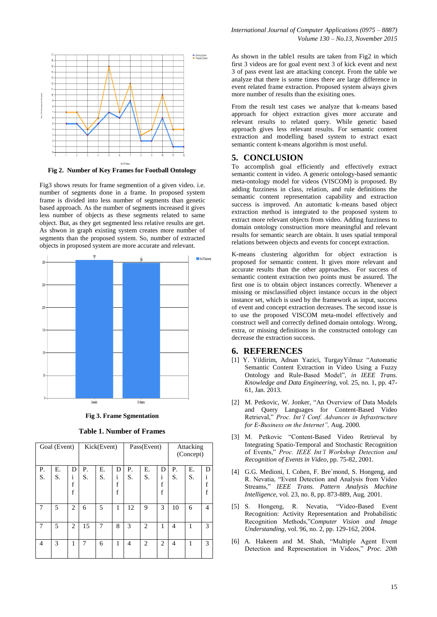

**Fig 2. Number of Key Frames for Football Ontology**

Fig3 shows resuts for frame segmention of a given video. i.e. number of segments done in a frame. In proposed system frame is divided into less number of segments than genetic based approach. As the number of segments increased it gives less number of objects as these segments related to same object. But, as they get segmented less relative results are get. As shwon in graph existing system creates more number of segments than the proposed system. So, number of extracted objects in proposed system are more accurate and relevant.



**Fig 3. Frame Sgmentation**

**Table 1. Number of Frames**

| Goal (Event) |    |                | Kick(Event) |    |                                 | Pass(Event)    |                |                       | Attacking<br>(Concept) |    |                |
|--------------|----|----------------|-------------|----|---------------------------------|----------------|----------------|-----------------------|------------------------|----|----------------|
| Ρ.           | Е. | D              | Ρ.          | Е. | D                               | Р.             | Е.             | D                     | Р.                     | Е. | D              |
| S.           | S. | i<br>f<br>f    | S.          | S. | 1<br>$\mathbf f$<br>$\mathbf f$ | S.             | S.             | i<br>$\mathbf f$<br>f | S.                     | S. | 1<br>f<br>f    |
| 7            | 5  | $\overline{2}$ | 6           | 5  | 1                               | 12             | 9              | 3                     | 10                     | 6  | $\overline{4}$ |
| 7            | 5  | 2              | 15          | 7  | 8                               | 3              | $\overline{2}$ | 1                     | $\overline{4}$         | 1  | 3              |
| 4            | 3  | 1              | 7           | 6  | 1                               | $\overline{4}$ | $\overline{2}$ | 2                     | $\overline{4}$         | 1  | 3              |

As shown in the table1 results are taken from Fig2 in which first 3 videos are for goal event next 3 of kick event and next 3 of pass event last are attacking concept. From the table we analyze that there is some times there are large difference in event related frame extraction. Proposed system always gives more number of results than the exisiting ones.

From the result test cases we analyze that k-means based approach for object extraction gives more accurate and relevant results to related query. While genetic based approach gives less relevant results. For semantic content extraction and modelling based system to extract exact semantic content k-means algorithm is most useful.

#### **5. CONCLUSION**

To accomplish goal efficiently and effectively extract semantic content in video. A generic ontology-based semantic meta-ontology model for videos (VISCOM) is proposed. By adding fuzziness in class, relation, and rule definitions the semantic content representation capability and extraction success is improved. An automatic k-means based object extraction method is integrated to the proposed system to extract more relevant objects from video. Adding fuzziness to domain ontology construction more meaningful and relevant results for semantic search are obtain. It uses spatial temporal relations between objects and events for concept extraction.

K-means clustering algorithm for object extraction is proposed for semantic content. It gives more relevant and accurate results than the other approaches. For success of semantic content extraction two points must be assured. The first one is to obtain object instances correctly. Whenever a missing or misclassified object instance occurs in the object instance set, which is used by the framework as input, success of event and concept extraction decreases. The second issue is to use the proposed VISCOM meta-model effectively and construct well and correctly defined domain ontology. Wrong, extra, or missing definitions in the constructed ontology can decrease the extraction success.

#### **6. REFERENCES**

- [1] Y. Yildirim, Adnan Yazici, TurgayYilmaz "Automatic Semantic Content Extraction in Video Using a Fuzzy Ontology and Rule-Based Model", *in IEEE Trans. Knowledge and Data Engineering*, vol. 25, no. 1, pp. 47- 61, Jan. 2013.
- [2] M. Petkovic, W. Jonker, "An Overview of Data Models and Query Languages for Content-Based Video Retrieval," *Proc. Int'l Conf. Advances in Infrastructure for E-Business on the Internet",* Aug. 2000.
- [3] M. Petkovic "Content-Based Video Retrieval by Integrating Spatio-Temporal and Stochastic Recognition of Events," *Proc. IEEE Int'l Workshop Detection and Recognition of Events in Video*, pp. 75-82, 2001.
- [4] G.G. Medioni, I. Cohen, F. Bre´mond, S. Hongeng, and R. Nevatia, "Event Detection and Analysis from Video Streams," *IEEE Trans. Pattern Analysis Machine Intelligence*, vol. 23, no. 8, pp. 873-889, Aug. 2001.
- [5] S. Hongeng, R. Nevatia, "Video-Based Event Recognition: Activity Representation and Probabilistic Recognition Methods,"*Computer Vision and Image Understanding*, vol. 96, no. 2, pp. 129-162, 2004.
- [6] A. Hakeem and M. Shah, "Multiple Agent Event Detection and Representation in Videos," *Proc. 20th*